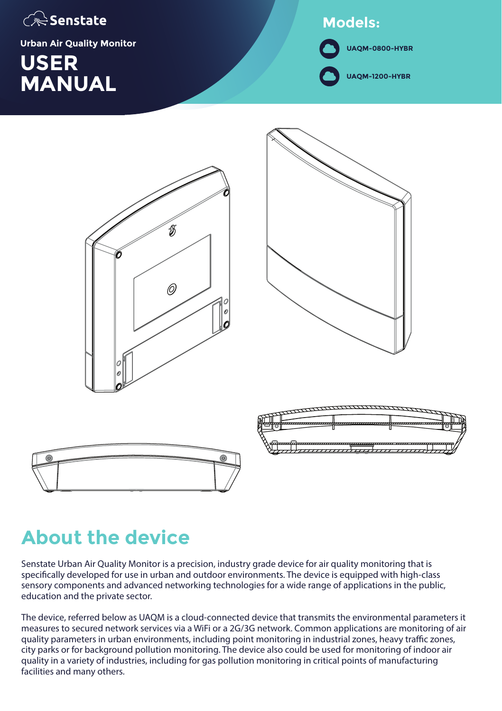

**Urban Air Quality Monitor**

### **USER MANUAL UAQM-1200-HYBR**

### **Models:**

**UAQM-0800-HYBR**

B  $\oslash$ 





### **About the device**

Senstate Urban Air Quality Monitor is a precision, industry grade device for air quality monitoring that is specifically developed for use in urban and outdoor environments. The device is equipped with high-class sensory components and advanced networking technologies for a wide range of applications in the public, education and the private sector.

The device, referred below as UAQM is a cloud-connected device that transmits the environmental parameters it measures to secured network services via a WiFi or a 2G/3G network. Common applications are monitoring of air quality parameters in urban environments, including point monitoring in industrial zones, heavy traffic zones, city parks or for background pollution monitoring. The device also could be used for monitoring of indoor air quality in a variety of industries, including for gas pollution monitoring in critical points of manufacturing facilities and many others.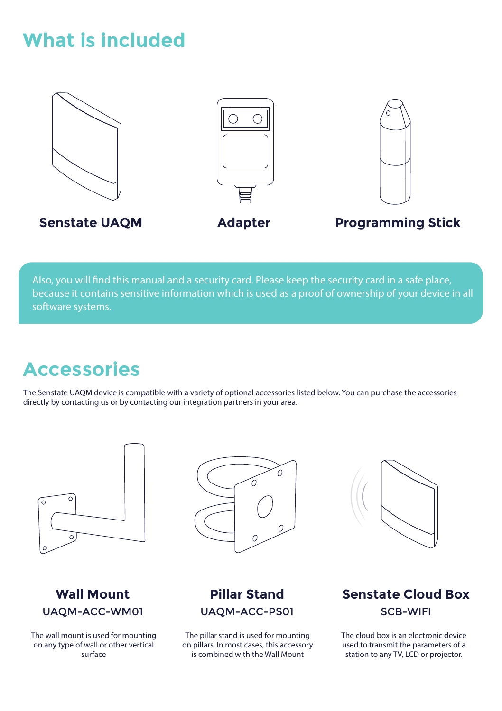### **What is included**



Also, you will find this manual and a security card. Please keep the security card in a safe place, because it contains sensitive information which is used as a proof of ownership of your device in all software systems.

### **Accessories**

The Senstate UAQM device is compatible with a variety of optional accessories listed below. You can purchase the accessories directly by contacting us or by contacting our integration partners in your area.





The wall mount is used for mounting on any type of wall or other vertical surface





### **Pillar Stand** UAQM-ACC-PS01

The pillar stand is used for mounting on pillars. In most cases, this accessory is combined with the Wall Mount

### **Senstate Cloud Box** SCB-WIFI

The cloud box is an electronic device used to transmit the parameters of a station to any TV, LCD or projector.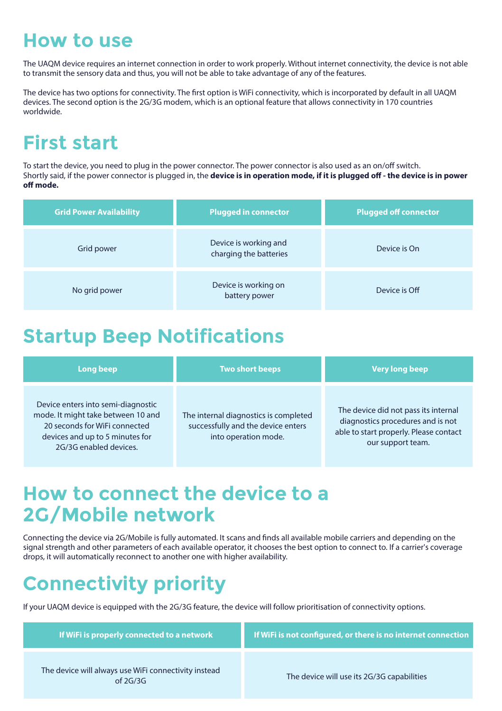### **How to use**

The UAQM device requires an internet connection in order to work properly. Without internet connectivity, the device is not able to transmit the sensory data and thus, you will not be able to take advantage of any of the features.

The device has two options for connectivity. The first option is WiFi connectivity, which is incorporated by default in all UAOM devices. The second option is the 2G/3G modem, which is an optional feature that allows connectivity in 170 countries worldwide.

# **First start**

To start the device, you need to plug in the power connector. The power connector is also used as an on/off switch. Shortly said, if the power connector is plugged in, the **device is in operation mode, if it is plugged off - the device is in power** off mode.

| <b>Grid Power Availability</b> | <b>Plugged in connector</b>                     | <b>Plugged off connector</b> |
|--------------------------------|-------------------------------------------------|------------------------------|
| Grid power                     | Device is working and<br>charging the batteries | Device is On                 |
| No grid power                  | Device is working on<br>battery power           | Device is Off                |

## **Startup Beep Notifications**

| <b>Long beep</b>                                                                                                                                                       | <b>Two short beeps</b>                                                                              | <b>Very long beep</b>                                                                                                                    |
|------------------------------------------------------------------------------------------------------------------------------------------------------------------------|-----------------------------------------------------------------------------------------------------|------------------------------------------------------------------------------------------------------------------------------------------|
| Device enters into semi-diagnostic<br>mode. It might take between 10 and<br>20 seconds for WiFi connected<br>devices and up to 5 minutes for<br>2G/3G enabled devices. | The internal diagnostics is completed<br>successfully and the device enters<br>into operation mode. | The device did not pass its internal<br>diagnostics procedures and is not<br>able to start properly. Please contact<br>our support team. |

### **How to connect the device to a 2G/Mobile network**

Connecting the device via 2G/Mobile is fully automated. It scans and finds all available mobile carriers and depending on the signal strength and other parameters of each available operator, it chooses the best option to connect to. If a carrier's coverage drops, it will automatically reconnect to another one with higher availability.

# **Connectivity priority**

If your UAQM device is equipped with the 2G/3G feature, the device will follow prioritisation of connectivity options.

| If WiFi is properly connected to a network                         | If WiFi is not configured, or there is no internet connection |
|--------------------------------------------------------------------|---------------------------------------------------------------|
| The device will always use WiFi connectivity instead<br>of $2G/3G$ | The device will use its 2G/3G capabilities                    |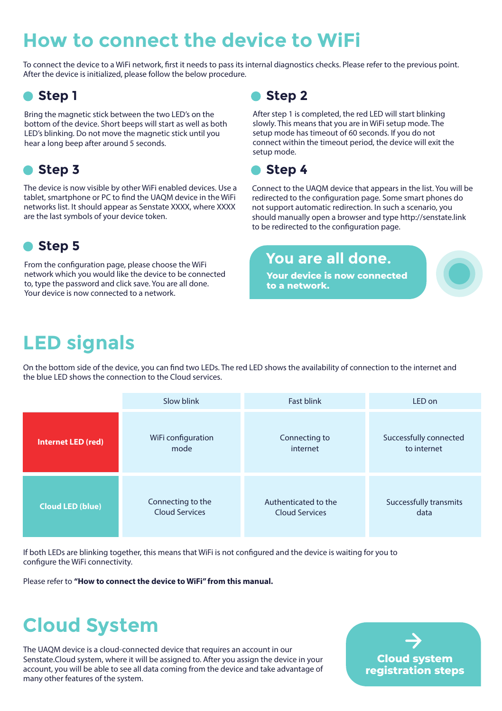# **How to connect the device to WiFi**

To connect the device to a WiFi network, first it needs to pass its internal diagnostics checks. Please refer to the previous point. After the device is initialized, please follow the below procedure.

### **Step 1**

Bring the magnetic stick between the two LED's on the bottom of the device. Short beeps will start as well as both LED's blinking. Do not move the magnetic stick until you hear a long beep after around 5 seconds.

### **Step 3**

The device is now visible by other WiFi enabled devices. Use a tablet, smartphone or PC to find the UAOM device in the WiFi networks list. It should appear as Senstate XXXX, where XXXX are the last symbols of your device token.

### **Step 5**

From the configuration page, please choose the WiFi network which you would like the device to be connected to, type the password and click save. You are all done. Your device is now connected to a network.

### **Step 2**

After step 1 is completed, the red LED will start blinking slowly. This means that you are in WiFi setup mode. The setup mode has timeout of 60 seconds. If you do not connect within the timeout period, the device will exit the setup mode.



Connect to the UAQM device that appears in the list. You will be redirected to the configuration page. Some smart phones do not support automatic redirection. In such a scenario, you should manually open a browser and type http://senstate.link to be redirected to the configuration page.

### **You are all done.**

**Your device is now connected to a network.**

# **LED signals**

On the bottom side of the device, you can find two LEDs. The red LED shows the availability of connection to the internet and the blue LED shows the connection to the Cloud services.

|                         | Slow blink            | <b>Fast blink</b>     | LED on                        |
|-------------------------|-----------------------|-----------------------|-------------------------------|
| Internet LED (red)      | WiFi configuration    | Connecting to         | Successfully connected        |
|                         | mode                  | internet              | to internet                   |
| <b>Cloud LED (blue)</b> | Connecting to the     | Authenticated to the  | <b>Successfully transmits</b> |
|                         | <b>Cloud Services</b> | <b>Cloud Services</b> | data                          |

If both LEDs are blinking together, this means that WiFi is not congured and the device is waiting for you to configure the WiFi connectivity.

Please refer to **"How to connect the device to WiFi" from this manual.**

# **Cloud System**

The UAQM device is a cloud-connected device that requires an account in our Senstate.Cloud system, where it will be assigned to. After you assign the device in your account, you will be able to see all data coming from the device and take advantage of many other features of the system.

**Cloud system registration steps**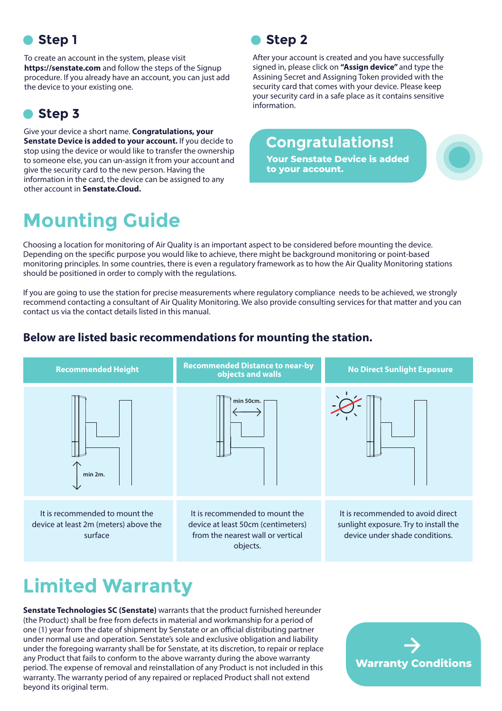### **Step 1**

To create an account in the system, please visit **https://senstate.com** and follow the steps of the Signup procedure. If you already have an account, you can just add the device to your existing one.

### **Step 3**

Give your device a short name. **Congratulations, your Senstate Device is added to your account.** If you decide to stop using the device or would like to transfer the ownership to someone else, you can un-assign it from your account and give the security card to the new person. Having the information in the card, the device can be assigned to any other account in **Senstate.Cloud.**

# **Mounting Guide**

**Step 2**

After your account is created and you have successfully signed in, please click on **"Assign device"** and type the Assining Secret and Assigning Token provided with the security card that comes with your device. Please keep your security card in a safe place as it contains sensitive information.

### **Congratulations!**

**Your Senstate Device is added to your account.**

Choosing a location for monitoring of Air Quality is an important aspect to be considered before mounting the device. Depending on the specific purpose you would like to achieve, there might be background monitoring or point-based monitoring principles. In some countries, there is even a regulatory framework as to how the Air Quality Monitoring stations should be positioned in order to comply with the regulations.

If you are going to use the station for precise measurements where regulatory compliance needs to be achieved, we strongly recommend contacting a consultant of Air Quality Monitoring. We also provide consulting services for that matter and you can contact us via the contact details listed in this manual.

#### **Below are listed basic recommendations for mounting the station.**



# **Limited Warranty**

**Senstate Technologies SC (Senstate)** warrants that the product furnished hereunder (the Product) shall be free from defects in material and workmanship for a period of one (1) year from the date of shipment by Senstate or an official distributing partner under normal use and operation. Senstate's sole and exclusive obligation and liability under the foregoing warranty shall be for Senstate, at its discretion, to repair or replace any Product that fails to conform to the above warranty during the above warranty period. The expense of removal and reinstallation of any Product is not included in this warranty. The warranty period of any repaired or replaced Product shall not extend beyond its original term.

**Warranty Conditions**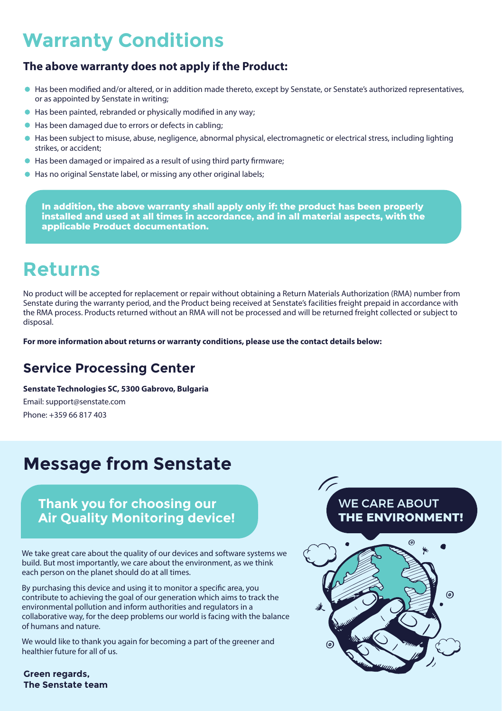## **Warranty Conditions**

#### **The above warranty does not apply if the Product:**

- In as been modified and/or altered, or in addition made thereto, except by Senstate, or Senstate's authorized representatives, or as appointed by Senstate in writing;
- Has been painted, rebranded or physically modified in any way;
- Has been damaged due to errors or defects in cabling;
- ä Has been subject to misuse, abuse, negligence, abnormal physical, electromagnetic or electrical stress, including lighting strikes, or accident;
- Has been damaged or impaired as a result of using third party firmware:
- Has no original Senstate label, or missing any other original labels;

**In addition, the above warranty shall apply only if: the product has been properly installed and used at all times in accordance, and in all material aspects, with the applicable Product documentation.**

### **Returns**

No product will be accepted for replacement or repair without obtaining a Return Materials Authorization (RMA) number from Senstate during the warranty period, and the Product being received at Senstate's facilities freight prepaid in accordance with the RMA process. Products returned without an RMA will not be processed and will be returned freight collected or subject to disposal.

**For more information about returns or warranty conditions, please use the contact details below:**

### **Service Processing Center**

**Senstate Technologies SC, 5300 Gabrovo, Bulgaria**

Email: support@senstate.com Phone: +359 66 817 403

### **Message from Senstate**

#### **Thank you for choosing our Air Quality Monitoring device!**

We take great care about the quality of our devices and software systems we build. But most importantly, we care about the environment, as we think each person on the planet should do at all times.

By purchasing this device and using it to monitor a specific area, you contribute to achieving the goal of our generation which aims to track the environmental pollution and inform authorities and regulators in a collaborative way, for the deep problems our world is facing with the balance of humans and nature.

We would like to thank you again for becoming a part of the greener and healthier future for all of us.



# **WE CARE ABOUT** THE ENVIRONMENT!